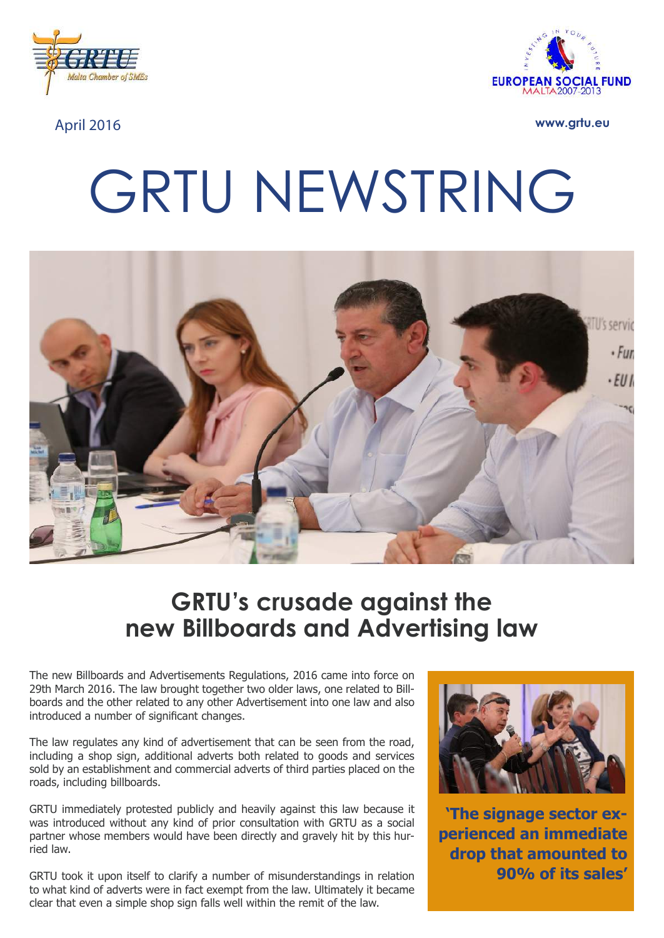



April 2016 **www.grtu.eu**

# GRTU NEWSTRING



# **GRTU's crusade against the new Billboards and Advertising law**

The new Billboards and Advertisements Regulations, 2016 came into force on 29th March 2016. The law brought together two older laws, one related to Billboards and the other related to any other Advertisement into one law and also introduced a number of significant changes.

The law regulates any kind of advertisement that can be seen from the road, including a shop sign, additional adverts both related to goods and services sold by an establishment and commercial adverts of third parties placed on the roads, including billboards.

GRTU immediately protested publicly and heavily against this law because it was introduced without any kind of prior consultation with GRTU as a social partner whose members would have been directly and gravely hit by this hurried law.

GRTU took it upon itself to clarify a number of misunderstandings in relation to what kind of adverts were in fact exempt from the law. Ultimately it became clear that even a simple shop sign falls well within the remit of the law.



**'The signage sector experienced an immediate drop that amounted to 90% of its sales'**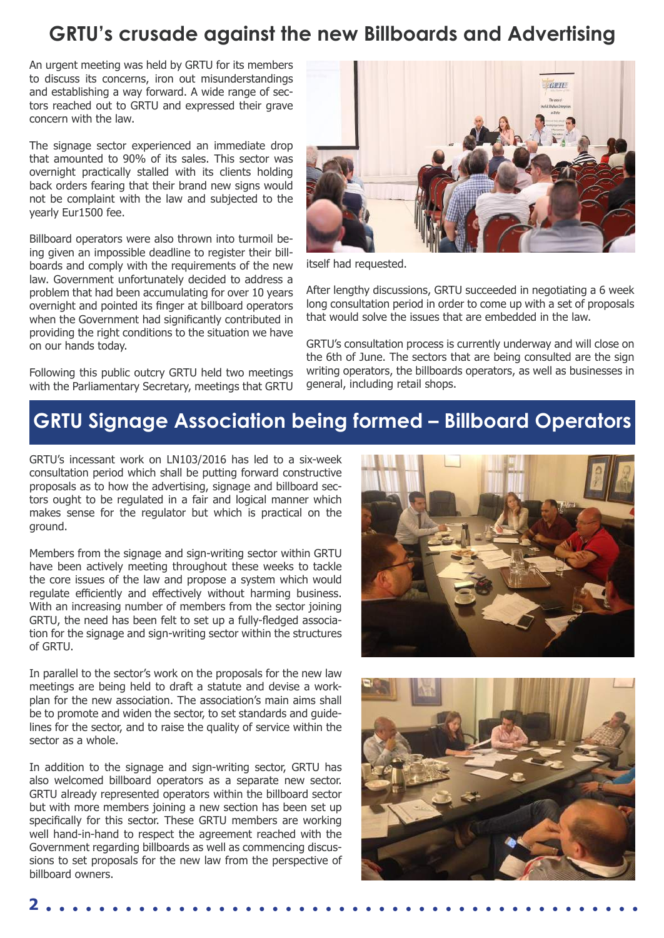# **GRTU's crusade against the new Billboards and Advertising**

An urgent meeting was held by GRTU for its members to discuss its concerns, iron out misunderstandings and establishing a way forward. A wide range of sectors reached out to GRTU and expressed their grave concern with the law.

The signage sector experienced an immediate drop that amounted to 90% of its sales. This sector was overnight practically stalled with its clients holding back orders fearing that their brand new signs would not be complaint with the law and subjected to the yearly Eur1500 fee.

Billboard operators were also thrown into turmoil being given an impossible deadline to register their billboards and comply with the requirements of the new law. Government unfortunately decided to address a problem that had been accumulating for over 10 years overnight and pointed its finger at billboard operators when the Government had significantly contributed in providing the right conditions to the situation we have on our hands today.

Following this public outcry GRTU held two meetings with the Parliamentary Secretary, meetings that GRTU



itself had requested.

After lengthy discussions, GRTU succeeded in negotiating a 6 week long consultation period in order to come up with a set of proposals that would solve the issues that are embedded in the law.

GRTU's consultation process is currently underway and will close on the 6th of June. The sectors that are being consulted are the sign writing operators, the billboards operators, as well as businesses in general, including retail shops.

## **GRTU Signage Association being formed – Billboard Operators**

GRTU's incessant work on LN103/2016 has led to a six-week consultation period which shall be putting forward constructive proposals as to how the advertising, signage and billboard sectors ought to be regulated in a fair and logical manner which makes sense for the regulator but which is practical on the ground.

Members from the signage and sign-writing sector within GRTU have been actively meeting throughout these weeks to tackle the core issues of the law and propose a system which would regulate efficiently and effectively without harming business. With an increasing number of members from the sector joining GRTU, the need has been felt to set up a fully-fledged association for the signage and sign-writing sector within the structures of GRTU.

In parallel to the sector's work on the proposals for the new law meetings are being held to draft a statute and devise a workplan for the new association. The association's main aims shall be to promote and widen the sector, to set standards and guidelines for the sector, and to raise the quality of service within the sector as a whole.

In addition to the signage and sign-writing sector, GRTU has also welcomed billboard operators as a separate new sector. GRTU already represented operators within the billboard sector but with more members joining a new section has been set up specifically for this sector. These GRTU members are working well hand-in-hand to respect the agreement reached with the Government regarding billboards as well as commencing discussions to set proposals for the new law from the perspective of billboard owners.





**2**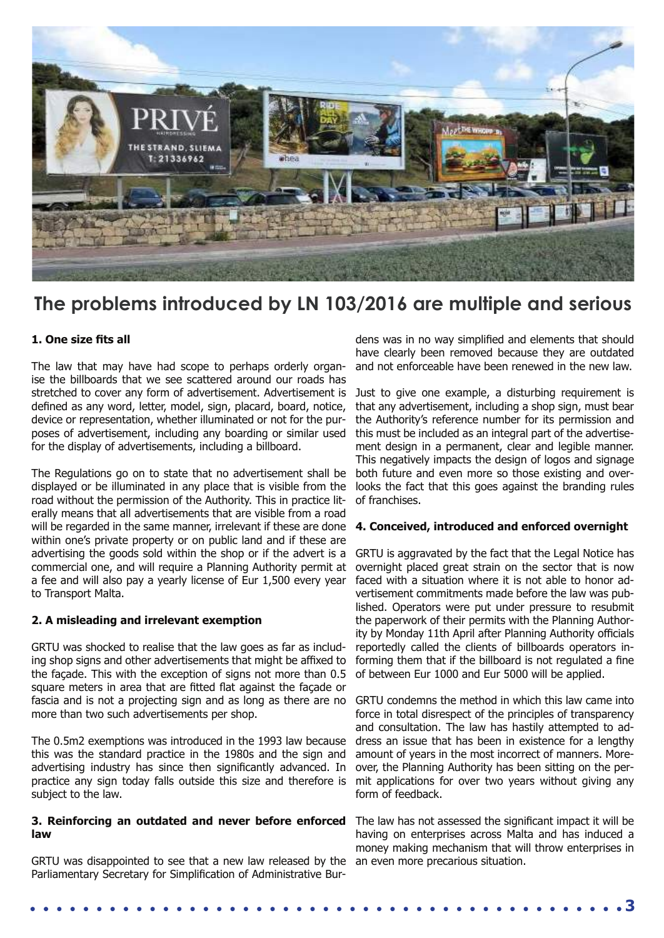

## **The problems introduced by LN 103/2016 are multiple and serious**

#### **1. One size fits all**

The law that may have had scope to perhaps orderly organise the billboards that we see scattered around our roads has stretched to cover any form of advertisement. Advertisement is defined as any word, letter, model, sign, placard, board, notice, device or representation, whether illuminated or not for the purposes of advertisement, including any boarding or similar used for the display of advertisements, including a billboard.

The Regulations go on to state that no advertisement shall be displayed or be illuminated in any place that is visible from the road without the permission of the Authority. This in practice literally means that all advertisements that are visible from a road will be regarded in the same manner, irrelevant if these are done within one's private property or on public land and if these are advertising the goods sold within the shop or if the advert is a commercial one, and will require a Planning Authority permit at a fee and will also pay a yearly license of Eur 1,500 every year to Transport Malta.

#### **2. A misleading and irrelevant exemption**

GRTU was shocked to realise that the law goes as far as including shop signs and other advertisements that might be affixed to the façade. This with the exception of signs not more than 0.5 square meters in area that are fitted flat against the façade or fascia and is not a projecting sign and as long as there are no more than two such advertisements per shop.

The 0.5m2 exemptions was introduced in the 1993 law because this was the standard practice in the 1980s and the sign and advertising industry has since then significantly advanced. In practice any sign today falls outside this size and therefore is subject to the law.

#### **3. Reinforcing an outdated and never before enforced**  The law has not assessed the significant impact it will be **law**

GRTU was disappointed to see that a new law released by the Parliamentary Secretary for Simplification of Administrative Bur-

dens was in no way simplified and elements that should have clearly been removed because they are outdated and not enforceable have been renewed in the new law.

Just to give one example, a disturbing requirement is that any advertisement, including a shop sign, must bear the Authority's reference number for its permission and this must be included as an integral part of the advertisement design in a permanent, clear and legible manner. This negatively impacts the design of logos and signage both future and even more so those existing and overlooks the fact that this goes against the branding rules of franchises.

#### **4. Conceived, introduced and enforced overnight**

GRTU is aggravated by the fact that the Legal Notice has overnight placed great strain on the sector that is now faced with a situation where it is not able to honor advertisement commitments made before the law was published. Operators were put under pressure to resubmit the paperwork of their permits with the Planning Authority by Monday 11th April after Planning Authority officials reportedly called the clients of billboards operators informing them that if the billboard is not regulated a fine of between Eur 1000 and Eur 5000 will be applied.

GRTU condemns the method in which this law came into force in total disrespect of the principles of transparency and consultation. The law has hastily attempted to address an issue that has been in existence for a lengthy amount of years in the most incorrect of manners. Moreover, the Planning Authority has been sitting on the permit applications for over two years without giving any form of feedback.

having on enterprises across Malta and has induced a money making mechanism that will throw enterprises in an even more precarious situation.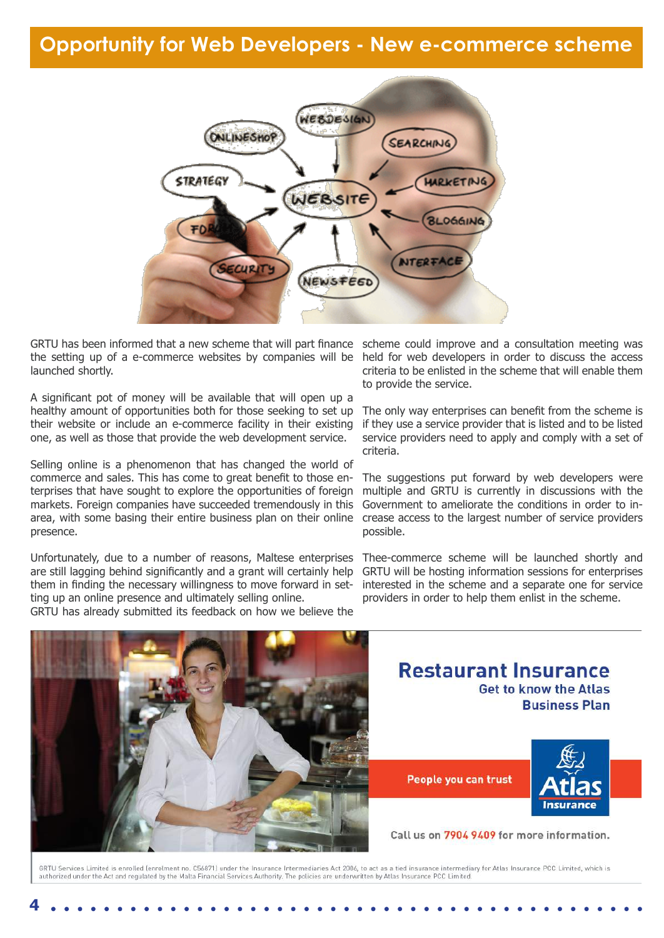## **Opportunity for Web Developers - New e-commerce scheme**



GRTU has been informed that a new scheme that will part finance scheme could improve and a consultation meeting was the setting up of a e-commerce websites by companies will be launched shortly.

A significant pot of money will be available that will open up a healthy amount of opportunities both for those seeking to set up their website or include an e-commerce facility in their existing one, as well as those that provide the web development service.

Selling online is a phenomenon that has changed the world of commerce and sales. This has come to great benefit to those enterprises that have sought to explore the opportunities of foreign markets. Foreign companies have succeeded tremendously in this area, with some basing their entire business plan on their online presence.

Unfortunately, due to a number of reasons, Maltese enterprises are still lagging behind significantly and a grant will certainly help them in finding the necessary willingness to move forward in setting up an online presence and ultimately selling online.

GRTU has already submitted its feedback on how we believe the

held for web developers in order to discuss the access criteria to be enlisted in the scheme that will enable them to provide the service.

The only way enterprises can benefit from the scheme is if they use a service provider that is listed and to be listed service providers need to apply and comply with a set of criteria.

The suggestions put forward by web developers were multiple and GRTU is currently in discussions with the Government to ameliorate the conditions in order to increase access to the largest number of service providers possible.

Thee-commerce scheme will be launched shortly and GRTU will be hosting information sessions for enterprises interested in the scheme and a separate one for service providers in order to help them enlist in the scheme.



**4**

## **Restaurant Insurance Get to know the Atlas Business Plan**

People you can trust



Call us on 7904 9409 for more information.

GRTU Services Limited is enrolled (enrolment no. C56871) under the Insurance Intermediaries Act 2006, to act as a tied insurance intermediary for Atlas Insurance PCC Limited, which is authorized under the Act and regulated by the Malta Financial Services Authority. The policies are underwritten by Atlas Insurance PCC Limited.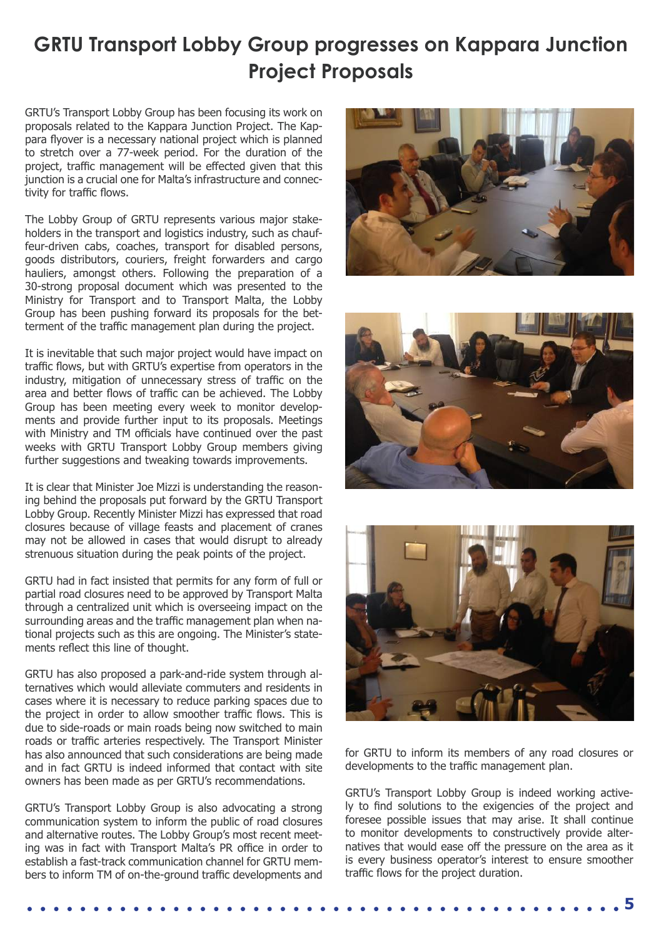# **GRTU Transport Lobby Group progresses on Kappara Junction Project Proposals**

GRTU's Transport Lobby Group has been focusing its work on proposals related to the Kappara Junction Project. The Kappara flyover is a necessary national project which is planned to stretch over a 77-week period. For the duration of the project, traffic management will be effected given that this junction is a crucial one for Malta's infrastructure and connectivity for traffic flows.

The Lobby Group of GRTU represents various major stakeholders in the transport and logistics industry, such as chauffeur-driven cabs, coaches, transport for disabled persons, goods distributors, couriers, freight forwarders and cargo hauliers, amongst others. Following the preparation of a 30-strong proposal document which was presented to the Ministry for Transport and to Transport Malta, the Lobby Group has been pushing forward its proposals for the betterment of the traffic management plan during the project.

It is inevitable that such major project would have impact on traffic flows, but with GRTU's expertise from operators in the industry, mitigation of unnecessary stress of traffic on the area and better flows of traffic can be achieved. The Lobby Group has been meeting every week to monitor developments and provide further input to its proposals. Meetings with Ministry and TM officials have continued over the past weeks with GRTU Transport Lobby Group members giving further suggestions and tweaking towards improvements.

It is clear that Minister Joe Mizzi is understanding the reasoning behind the proposals put forward by the GRTU Transport Lobby Group. Recently Minister Mizzi has expressed that road closures because of village feasts and placement of cranes may not be allowed in cases that would disrupt to already strenuous situation during the peak points of the project.

GRTU had in fact insisted that permits for any form of full or partial road closures need to be approved by Transport Malta through a centralized unit which is overseeing impact on the surrounding areas and the traffic management plan when national projects such as this are ongoing. The Minister's statements reflect this line of thought.

GRTU has also proposed a park-and-ride system through alternatives which would alleviate commuters and residents in cases where it is necessary to reduce parking spaces due to the project in order to allow smoother traffic flows. This is due to side-roads or main roads being now switched to main roads or traffic arteries respectively. The Transport Minister has also announced that such considerations are being made and in fact GRTU is indeed informed that contact with site owners has been made as per GRTU's recommendations.

GRTU's Transport Lobby Group is also advocating a strong communication system to inform the public of road closures and alternative routes. The Lobby Group's most recent meeting was in fact with Transport Malta's PR office in order to establish a fast-track communication channel for GRTU members to inform TM of on-the-ground traffic developments and







for GRTU to inform its members of any road closures or developments to the traffic management plan.

GRTU's Transport Lobby Group is indeed working actively to find solutions to the exigencies of the project and foresee possible issues that may arise. It shall continue to monitor developments to constructively provide alternatives that would ease off the pressure on the area as it is every business operator's interest to ensure smoother traffic flows for the project duration.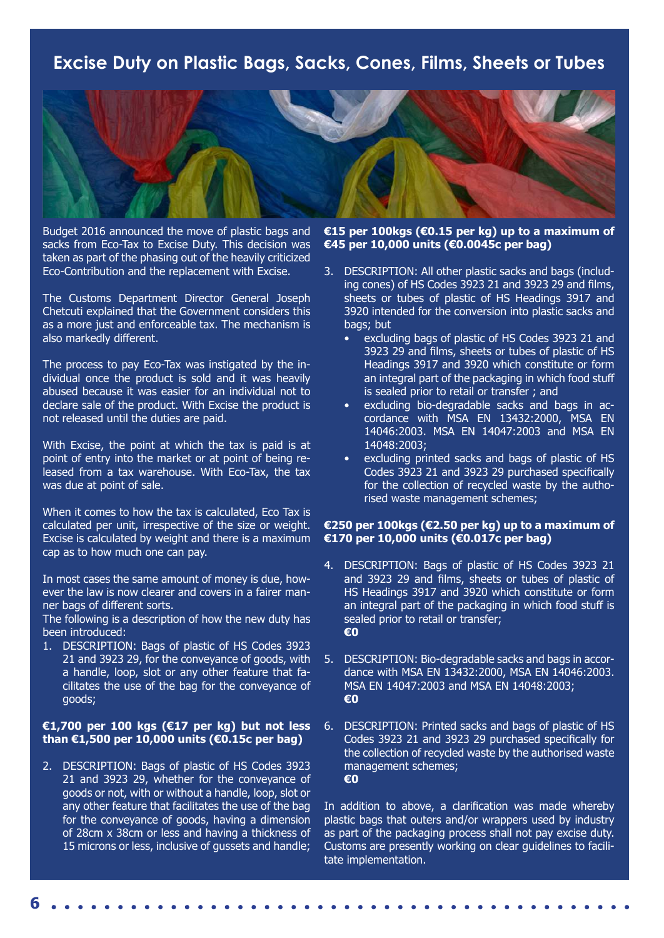### **Excise Duty on Plastic Bags, Sacks, Cones, Films, Sheets or Tubes**



Budget 2016 announced the move of plastic bags and sacks from Eco-Tax to Excise Duty. This decision was taken as part of the phasing out of the heavily criticized Eco-Contribution and the replacement with Excise.

The Customs Department Director General Joseph Chetcuti explained that the Government considers this as a more just and enforceable tax. The mechanism is also markedly different.

The process to pay Eco-Tax was instigated by the individual once the product is sold and it was heavily abused because it was easier for an individual not to declare sale of the product. With Excise the product is not released until the duties are paid.

With Excise, the point at which the tax is paid is at point of entry into the market or at point of being released from a tax warehouse. With Eco-Tax, the tax was due at point of sale.

When it comes to how the tax is calculated, Eco Tax is calculated per unit, irrespective of the size or weight. Excise is calculated by weight and there is a maximum cap as to how much one can pay.

In most cases the same amount of money is due, however the law is now clearer and covers in a fairer manner bags of different sorts.

The following is a description of how the new duty has been introduced:

1. DESCRIPTION: Bags of plastic of HS Codes 3923 21 and 3923 29, for the conveyance of goods, with a handle, loop, slot or any other feature that facilitates the use of the bag for the conveyance of goods;

#### **€1,700 per 100 kgs (€17 per kg) but not less than €1,500 per 10,000 units (€0.15c per bag)**

2. DESCRIPTION: Bags of plastic of HS Codes 3923 21 and 3923 29, whether for the conveyance of goods or not, with or without a handle, loop, slot or any other feature that facilitates the use of the bag for the conveyance of goods, having a dimension of 28cm x 38cm or less and having a thickness of 15 microns or less, inclusive of gussets and handle;

#### **€15 per 100kgs (€0.15 per kg) up to a maximum of €45 per 10,000 units (€0.0045c per bag)**

- 3. DESCRIPTION: All other plastic sacks and bags (including cones) of HS Codes 3923 21 and 3923 29 and films, sheets or tubes of plastic of HS Headings 3917 and 3920 intended for the conversion into plastic sacks and bags; but
	- excluding bags of plastic of HS Codes 3923 21 and 3923 29 and films, sheets or tubes of plastic of HS Headings 3917 and 3920 which constitute or form an integral part of the packaging in which food stuff is sealed prior to retail or transfer ; and
	- excluding bio-degradable sacks and bags in accordance with MSA EN 13432:2000, MSA EN 14046:2003. MSA EN 14047:2003 and MSA EN 14048:2003;
	- excluding printed sacks and bags of plastic of HS Codes 3923 21 and 3923 29 purchased specifically for the collection of recycled waste by the authorised waste management schemes;

#### **€250 per 100kgs (€2.50 per kg) up to a maximum of €170 per 10,000 units (€0.017c per bag)**

- 4. DESCRIPTION: Bags of plastic of HS Codes 3923 21 and 3923 29 and films, sheets or tubes of plastic of HS Headings 3917 and 3920 which constitute or form an integral part of the packaging in which food stuff is sealed prior to retail or transfer; **€0**
- 5. DESCRIPTION: Bio-degradable sacks and bags in accordance with MSA EN 13432:2000, MSA EN 14046:2003. MSA EN 14047:2003 and MSA EN 14048:2003; **€0**
- 6. DESCRIPTION: Printed sacks and bags of plastic of HS Codes 3923 21 and 3923 29 purchased specifically for the collection of recycled waste by the authorised waste management schemes; **€0**

In addition to above, a clarification was made whereby plastic bags that outers and/or wrappers used by industry as part of the packaging process shall not pay excise duty. Customs are presently working on clear guidelines to facilitate implementation.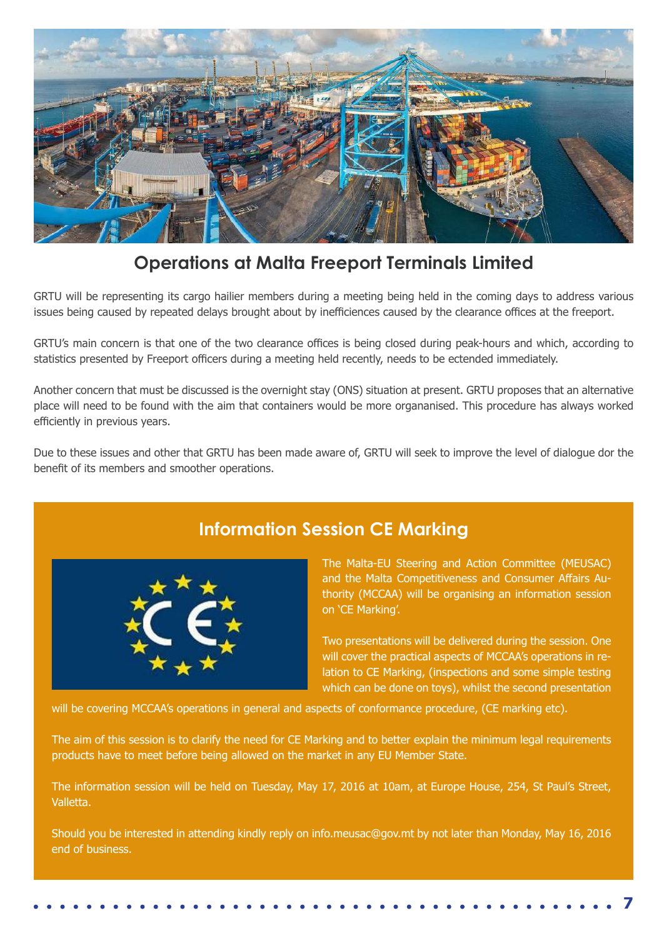

## **Operations at Malta Freeport Terminals Limited**

GRTU will be representing its cargo hailier members during a meeting being held in the coming days to address various issues being caused by repeated delays brought about by inefficiences caused by the clearance offices at the freeport.

GRTU's main concern is that one of the two clearance offices is being closed during peak-hours and which, according to statistics presented by Freeport officers during a meeting held recently, needs to be ectended immediately.

Another concern that must be discussed is the overnight stay (ONS) situation at present. GRTU proposes that an alternative place will need to be found with the aim that containers would be more organanised. This procedure has always worked efficiently in previous years.

Due to these issues and other that GRTU has been made aware of, GRTU will seek to improve the level of dialogue dor the benefit of its members and smoother operations.



## **Information Session CE Marking**

The Malta-EU Steering and Action Committee (MEUSAC) and the Malta Competitiveness and Consumer Affairs Authority (MCCAA) will be organising an information session on 'CE Marking'.

Two presentations will be delivered during the session. One will cover the practical aspects of MCCAA's operations in relation to CE Marking, (inspections and some simple testing which can be done on toys), whilst the second presentation

**7**

will be covering MCCAA's operations in general and aspects of conformance procedure, (CE marking etc).

The aim of this session is to clarify the need for CE Marking and to better explain the minimum legal requirements products have to meet before being allowed on the market in any EU Member State.

The information session will be held on Tuesday, May 17, 2016 at 10am, at Europe House, 254, St Paul's Street, Valletta.

Should you be interested in attending kindly reply on info.meusac@gov.mt by not later than Monday, May 16, 2016 end of business.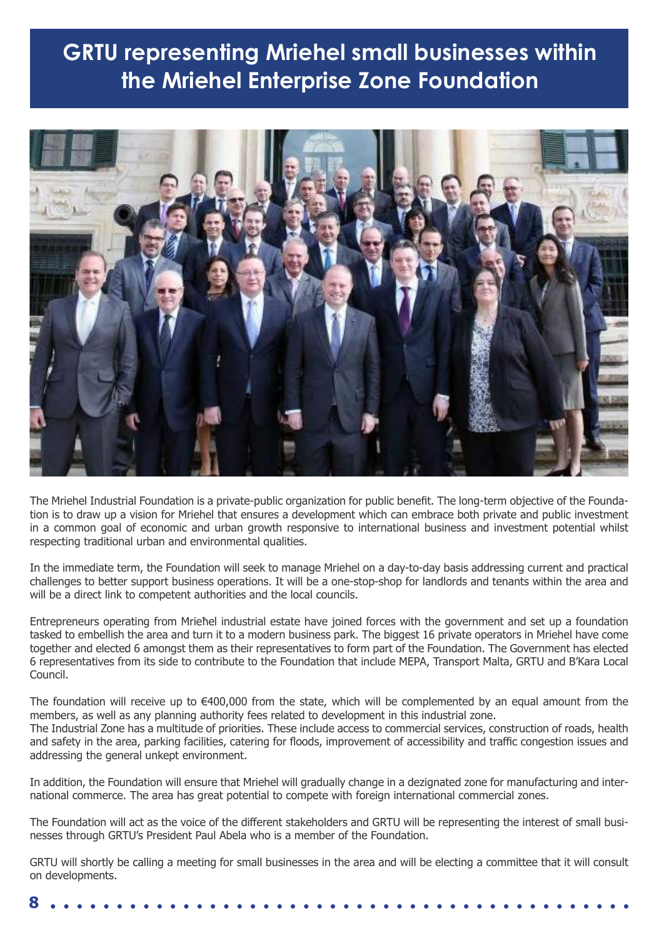# **GRTU representing Mriehel small businesses within the Mriehel Enterprise Zone Foundation**

![](_page_7_Picture_1.jpeg)

The Mriehel Industrial Foundation is a private-public organization for public benefit. The long-term objective of the Foundation is to draw up a vision for Mriehel that ensures a development which can embrace both private and public investment in a common goal of economic and urban growth responsive to international business and investment potential whilst respecting traditional urban and environmental qualities.

In the immediate term, the Foundation will seek to manage Mriehel on a day-to-day basis addressing current and practical challenges to better support business operations. It will be a one-stop-shop for landlords and tenants within the area and will be a direct link to competent authorities and the local councils.

Entrepreneurs operating from Mrieħel industrial estate have joined forces with the government and set up a foundation tasked to embellish the area and turn it to a modern business park. The biggest 16 private operators in Mriehel have come together and elected 6 amongst them as their representatives to form part of the Foundation. The Government has elected 6 representatives from its side to contribute to the Foundation that include MEPA, Transport Malta, GRTU and B'Kara Local Council.

The foundation will receive up to €400,000 from the state, which will be complemented by an equal amount from the members, as well as any planning authority fees related to development in this industrial zone. The Industrial Zone has a multitude of priorities. These include access to commercial services, construction of roads, health and safety in the area, parking facilities, catering for floods, improvement of accessibility and traffic congestion issues and addressing the general unkept environment.

In addition, the Foundation will ensure that Mriehel will gradually change in a dezignated zone for manufacturing and international commerce. The area has great potential to compete with foreign international commercial zones.

The Foundation will act as the voice of the different stakeholders and GRTU will be representing the interest of small businesses through GRTU's President Paul Abela who is a member of the Foundation.

GRTU will shortly be calling a meeting for small businesses in the area and will be electing a committee that it will consult on developments.

|--|--|--|--|--|--|--|--|--|--|--|--|--|--|--|--|--|--|--|--|--|--|--|--|--|--|--|--|--|--|--|--|--|--|--|--|--|--|--|--|--|--|--|--|--|--|--|--|--|--|--|--|--|--|--|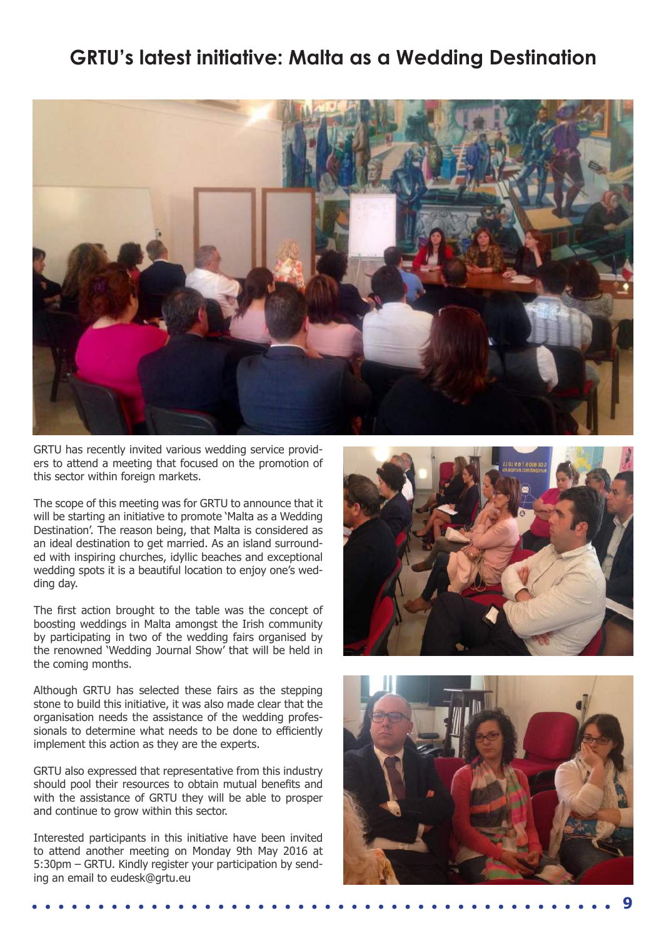## **GRTU's latest initiative: Malta as a Wedding Destination**

![](_page_8_Picture_1.jpeg)

GRTU has recently invited various wedding service providers to attend a meeting that focused on the promotion of this sector within foreign markets.

The scope of this meeting was for GRTU to announce that it will be starting an initiative to promote 'Malta as a Wedding Destination'. The reason being, that Malta is considered as an ideal destination to get married. As an island surrounded with inspiring churches, idyllic beaches and exceptional wedding spots it is a beautiful location to enjoy one's wedding day.

The first action brought to the table was the concept of boosting weddings in Malta amongst the Irish community by participating in two of the wedding fairs organised by the renowned 'Wedding Journal Show' that will be held in the coming months.

Although GRTU has selected these fairs as the stepping stone to build this initiative, it was also made clear that the organisation needs the assistance of the wedding professionals to determine what needs to be done to efficiently implement this action as they are the experts.

GRTU also expressed that representative from this industry should pool their resources to obtain mutual benefits and with the assistance of GRTU they will be able to prosper and continue to grow within this sector.

Interested participants in this initiative have been invited to attend another meeting on Monday 9th May 2016 at 5:30pm – GRTU. Kindly register your participation by sending an email to eudesk@grtu.eu

![](_page_8_Picture_8.jpeg)

![](_page_8_Picture_9.jpeg)

**9**